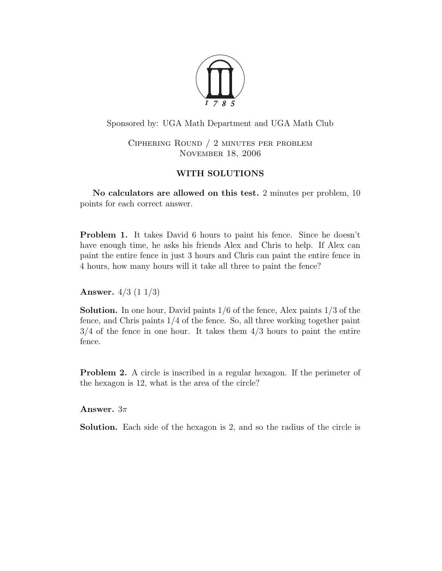

Sponsored by: UGA Math Department and UGA Math Club

Ciphering Round / 2 minutes per problem November 18, 2006

## WITH SOLUTIONS

No calculators are allowed on this test. 2 minutes per problem, 10 points for each correct answer.

Problem 1. It takes David 6 hours to paint his fence. Since he doesn't have enough time, he asks his friends Alex and Chris to help. If Alex can paint the entire fence in just 3 hours and Chris can paint the entire fence in 4 hours, how many hours will it take all three to paint the fence?

Answer. 4/3 (1 1/3)

**Solution.** In one hour, David paints  $1/6$  of the fence, Alex paints  $1/3$  of the fence, and Chris paints 1/4 of the fence. So, all three working together paint  $3/4$  of the fence in one hour. It takes them  $4/3$  hours to paint the entire fence.

Problem 2. A circle is inscribed in a regular hexagon. If the perimeter of the hexagon is 12, what is the area of the circle?

Answer.  $3\pi$ 

Solution. Each side of the hexagon is 2, and so the radius of the circle is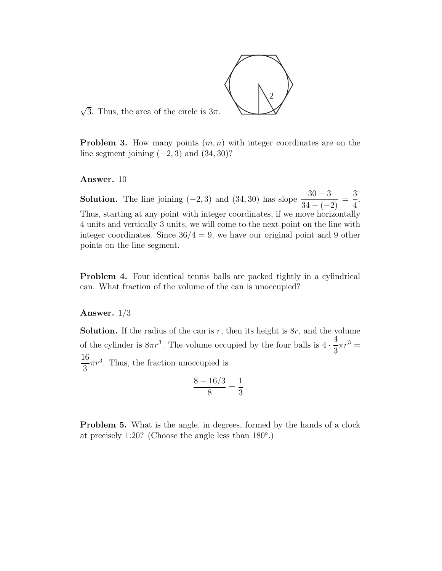

 $\sqrt{3}$ . Thus, the area of the circle is  $3\pi$ .

**Problem 3.** How many points  $(m, n)$  with integer coordinates are on the line segment joining  $(-2, 3)$  and  $(34, 30)$ ?

Answer. 10

**Solution.** The line joining (−2, 3) and (34, 30) has slope  $\frac{30-3}{34-(-)}$  $\frac{34-(-2)}{34-(-2)}$  = 3 4 . Thus, starting at any point with integer coordinates, if we move horizontally 4 units and vertically 3 units, we will come to the next point on the line with integer coordinates. Since  $36/4 = 9$ , we have our original point and 9 other points on the line segment.

Problem 4. Four identical tennis balls are packed tightly in a cylindrical can. What fraction of the volume of the can is unoccupied?

## Answer. 1/3

**Solution.** If the radius of the can is  $r$ , then its height is  $8r$ , and the volume of the cylinder is  $8\pi r^3$ . The volume occupied by the four balls is  $4 \cdot$ 4 3  $\pi r^3 =$ 16 3  $\pi r^3$ . Thus, the fraction unoccupied is

$$
\frac{8-16/3}{8} = \frac{1}{3}.
$$

Problem 5. What is the angle, in degrees, formed by the hands of a clock at precisely 1:20? (Choose the angle less than 180◦ .)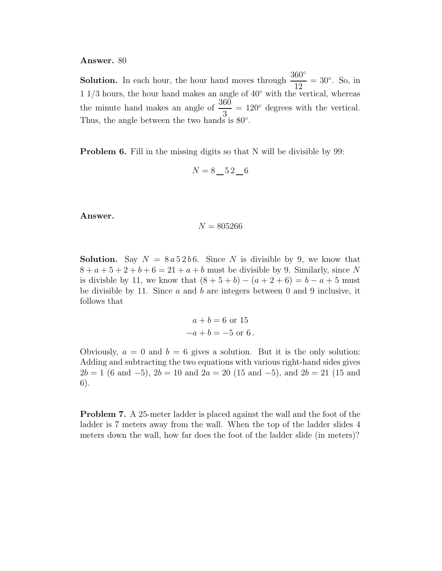## Answer. 80

**Solution.** In each hour, the hour hand moves through  $\frac{360°}{10}$ 12  $= 30^\circ$ . So, in 1 1/3 hours, the hour hand makes an angle of 40◦ with the vertical, whereas the minute hand makes an angle of  $\frac{360}{2}$ 3  $= 120^{\circ}$  degrees with the vertical. Thus, the angle between the two hands is  $80^\circ$ .

Problem 6. Fill in the missing digits so that N will be divisible by 99:

$$
N = 8 \pm 52 \pm 6
$$

Answer.

$$
N = 805266
$$

**Solution.** Say  $N = 8a52b6$ . Since N is divisible by 9, we know that  $8 + a + 5 + 2 + b + 6 = 21 + a + b$  must be divisible by 9. Similarly, since N is divisble by 11, we know that  $(8 + 5 + b) - (a + 2 + 6) = b - a + 5$  must be divisible by 11. Since  $a$  and  $b$  are integers between 0 and 9 inclusive, it follows that

$$
a + b = 6
$$
 or 15  
 $-a + b = -5$  or 6.

Obviously,  $a = 0$  and  $b = 6$  gives a solution. But it is the only solution: Adding and subtracting the two equations with various right-hand sides gives  $2b = 1$  (6 and  $-5$ ),  $2b = 10$  and  $2a = 20$  (15 and  $-5$ ), and  $2b = 21$  (15 and 6).

Problem 7. A 25-meter ladder is placed against the wall and the foot of the ladder is 7 meters away from the wall. When the top of the ladder slides 4 meters down the wall, how far does the foot of the ladder slide (in meters)?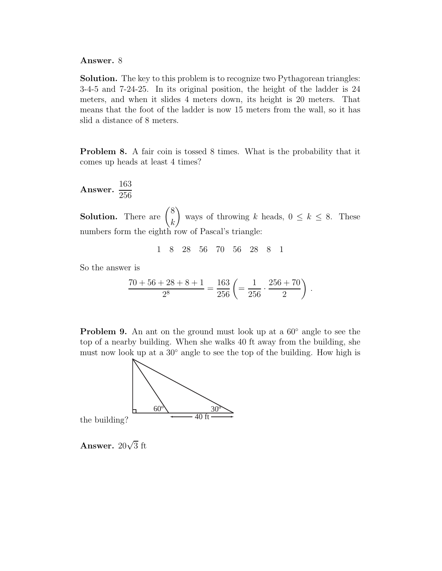## Answer. 8

Solution. The key to this problem is to recognize two Pythagorean triangles: 3-4-5 and 7-24-25. In its original position, the height of the ladder is 24 meters, and when it slides 4 meters down, its height is 20 meters. That means that the foot of the ladder is now 15 meters from the wall, so it has slid a distance of 8 meters.

Problem 8. A fair coin is tossed 8 times. What is the probability that it comes up heads at least 4 times?

Answer. 
$$
\frac{163}{256}
$$

**Solution.** There are  $\begin{pmatrix} 8 \\ 1 \end{pmatrix}$ k  $\setminus$ ways of throwing k heads,  $0 \leq k \leq 8$ . These numbers form the eighth row of Pascal's triangle:

1 8 28 56 70 56 28 8 1

So the answer is

$$
\frac{70+56+28+8+1}{2^8} = \frac{163}{256} \left( = \frac{1}{256} \cdot \frac{256+70}{2} \right).
$$

**Problem 9.** An ant on the ground must look up at a  $60°$  angle to see the top of a nearby building. When she walks 40 ft away from the building, she must now look up at a 30◦ angle to see the top of the building. How high is



the building?

Answer.  $20\sqrt{3}$  ft